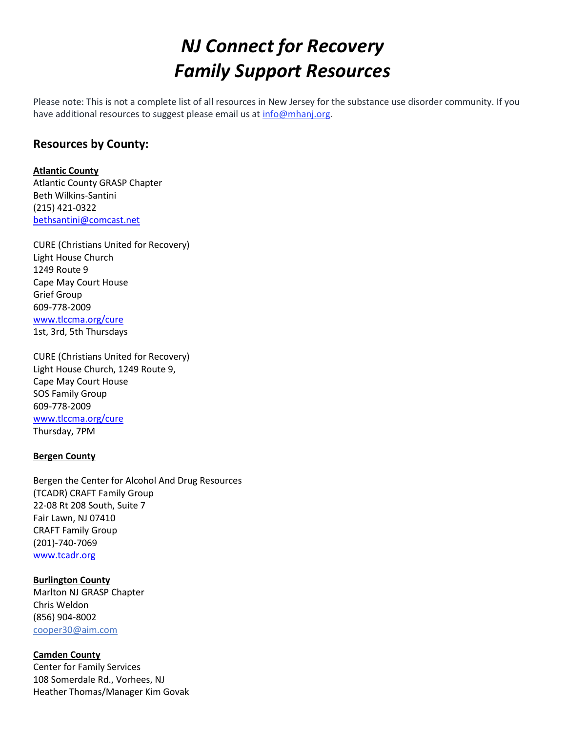# *NJ Connect for Recovery Family Support Resources*

Please note: This is not a complete list of all resources in New Jersey for the substance use disorder community. If you have additional resources to suggest please email us at [info@mhanj.org.](about:blank)

# **Resources by County:**

**Atlantic County**  Atlantic County GRASP Chapter Beth Wilkins-Santini (215) 421-0322 [bethsantini@comcast.net](about:blank)

CURE (Christians United for Recovery) Light House Church 1249 Route 9 Cape May Court House Grief Group 609-778-2009 [www.tlccma.org/cure](about:blank) 1st, 3rd, 5th Thursdays

CURE (Christians United for Recovery) Light House Church, 1249 Route 9, Cape May Court House SOS Family Group 609-778-2009 [www.tlccma.org/cure](about:blank) Thursday, 7PM

### **Bergen County**

Bergen the Center for Alcohol And Drug Resources (TCADR) CRAFT Family Group 22-08 Rt 208 South, Suite 7 Fair Lawn, NJ 07410 CRAFT Family Group (201)-740-7069 [www.tcadr.org](about:blank)

**Burlington County** Marlton NJ GRASP Chapter Chris Weldon (856) 904-8002 cooper30@aim.com

**Camden County** Center for Family Services 108 Somerdale Rd., Vorhees, NJ Heather Thomas/Manager Kim Govak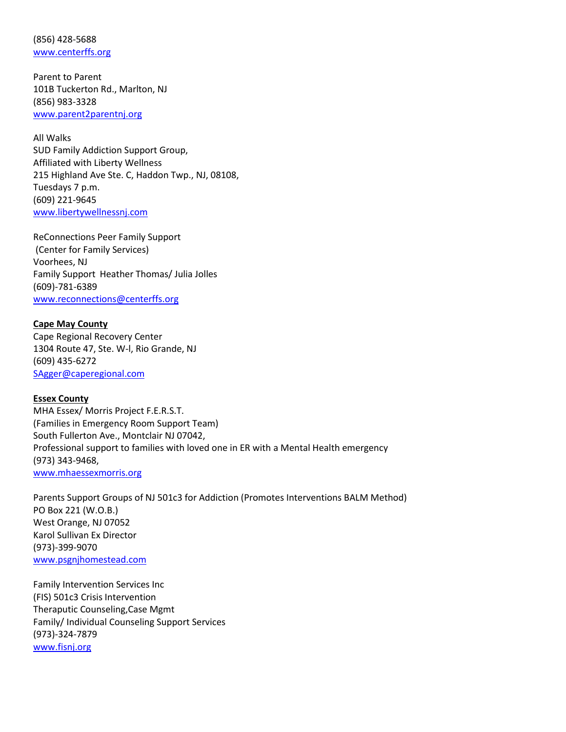(856) 428-5688 [www.centerffs.org](about:blank)

Parent to Parent 101B Tuckerton Rd., Marlton, NJ (856) 983-3328 [www.parent2parentnj.org](about:blank)

All Walks SUD Family Addiction Support Group, Affiliated with Liberty Wellness 215 Highland Ave Ste. C, Haddon Twp., NJ, 08108, Tuesdays 7 p.m. (609) 221-9645 [www.libertywellnessnj.com](about:blank)

ReConnections Peer Family Support (Center for Family Services) Voorhees, NJ Family Support Heather Thomas/ Julia Jolles (609)-781-6389 [www.reconnections@centerffs.org](about:blank)

#### **Cape May County**

Cape Regional Recovery Center 1304 Route 47, Ste. W-l, Rio Grande, NJ (609) 435-6272 [SAgger@caperegional.com](about:blank)

## **Essex County**

MHA Essex/ Morris Project F.E.R.S.T. (Families in Emergency Room Support Team) South Fullerton Ave., Montclair NJ 07042, Professional support to families with loved one in ER with a Mental Health emergency (973) 343-9468, [www.mhaessexmorris.org](about:blank)

Parents Support Groups of NJ 501c3 for Addiction (Promotes Interventions BALM Method) PO Box 221 (W.O.B.) West Orange, NJ 07052 Karol Sullivan Ex Director (973)-399-9070 [www.psgnjhomestead.com](about:blank)

Family Intervention Services Inc (FIS) 501c3 Crisis Intervention Theraputic Counseling,Case Mgmt Family/ Individual Counseling Support Services (973)-324-7879 [www.fisnj.org](about:blank)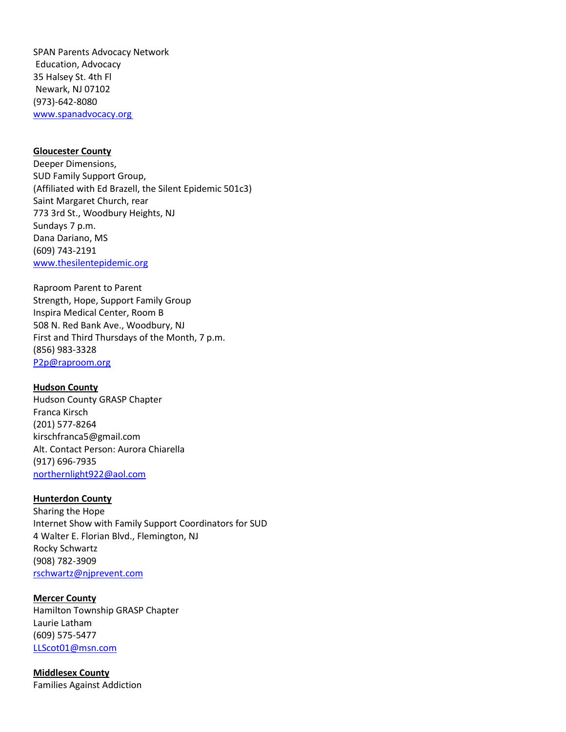SPAN Parents Advocacy Network Education, Advocacy 35 Halsey St. 4th Fl Newark, NJ 07102 (973)-642-8080 [www.spanadvocacy.org](about:blank)

#### **Gloucester County**

Deeper Dimensions, SUD Family Support Group, (Affiliated with Ed Brazell, the Silent Epidemic 501c3) Saint Margaret Church, rear 773 3rd St., Woodbury Heights, NJ Sundays 7 p.m. Dana Dariano, MS (609) 743-2191 [www.thesilentepidemic.org](about:blank)

Raproom Parent to Parent Strength, Hope, Support Family Group Inspira Medical Center, Room B 508 N. Red Bank Ave., Woodbury, NJ First and Third Thursdays of the Month, 7 p.m. (856) 983-3328 [P2p@raproom.org](about:blank)

#### **Hudson County**

Hudson County GRASP Chapter Franca Kirsch (201) 577-8264 kirschfranca5@gmail.com Alt. Contact Person: Aurora Chiarella (917) 696-7935 [northernlight922@aol.com](about:blank)

#### **Hunterdon County**

Sharing the Hope Internet Show with Family Support Coordinators for SUD 4 Walter E. Florian Blvd., Flemington, NJ Rocky Schwartz (908) 782-3909 [rschwartz@njprevent.com](about:blank)

#### **Mercer County**

Hamilton Township GRASP Chapter Laurie Latham (609) 575-5477 [LLScot01@msn.com](about:blank)

**Middlesex County**

Families Against Addiction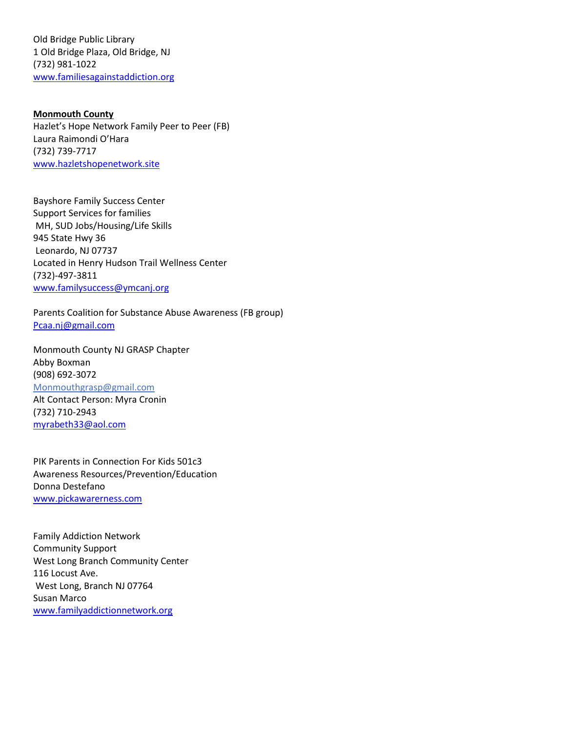Old Bridge Public Library 1 Old Bridge Plaza, Old Bridge, NJ (732) 981-1022 [www.familiesagainstaddiction.org](about:blank)

**Monmouth County** Hazlet's Hope Network Family Peer to Peer (FB) Laura Raimondi O'Hara (732) 739-7717 [www.hazletshopenetwork.site](about:blank)

Bayshore Family Success Center Support Services for families MH, SUD Jobs/Housing/Life Skills 945 State Hwy 36 Leonardo, NJ 07737 Located in Henry Hudson Trail Wellness Center (732)-497-3811 [www.familysuccess@ymcanj.org](about:blank)

Parents Coalition for Substance Abuse Awareness (FB group) [Pcaa.nj@gmail.com](about:blank)

Monmouth County NJ GRASP Chapter Abby Boxman (908) 692-3072 Monmouthgrasp@gmail.com Alt Contact Person: Myra Cronin (732) 710-2943 [myrabeth33@aol.com](about:blank)

PIK Parents in Connection For Kids 501c3 Awareness Resources/Prevention/Education Donna Destefano [www.pickawarerness.com](about:blank)

Family Addiction Network Community Support West Long Branch Community Center 116 Locust Ave. West Long, Branch NJ 07764 Susan Marco [www.familyaddictionnetwork.org](about:blank)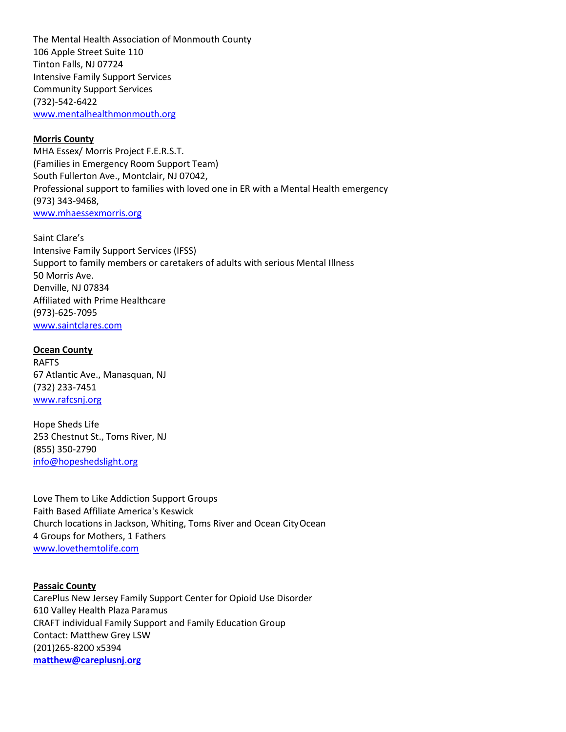The Mental Health Association of Monmouth County 106 Apple Street Suite 110 Tinton Falls, NJ 07724 Intensive Family Support Services Community Support Services (732)-542-6422 [www.mentalhealthmonmouth.org](about:blank)

#### **Morris County**

MHA Essex/ Morris Project F.E.R.S.T. (Families in Emergency Room Support Team) South Fullerton Ave., Montclair, NJ 07042, Professional support to families with loved one in ER with a Mental Health emergency (973) 343-9468, [www.mhaessexmorris.org](about:blank)

Saint Clare's Intensive Family Support Services (IFSS) Support to family members or caretakers of adults with serious Mental Illness 50 Morris Ave. Denville, NJ 07834 Affiliated with Prime Healthcare (973)-625-7095 [www.saintclares.com](about:blank)

**Ocean County** RAFTS 67 Atlantic Ave., Manasquan, NJ (732) 233-7451 [www.rafcsnj.org](about:blank)

Hope Sheds Life 253 Chestnut St., Toms River, NJ (855) 350-2790 [info@hopeshedslight.org](about:blank)

Love Them to Like Addiction Support Groups Faith Based Affiliate America's Keswick Church locations in Jackson, Whiting, Toms River and Ocean CityOcean 4 Groups for Mothers, 1 Fathers [www.lovethemtolife.com](about:blank)

**Passaic County** CarePlus New Jersey Family Support Center for Opioid Use Disorder 610 Valley Health Plaza Paramus CRAFT individual Family Support and Family Education Group Contact: Matthew Grey LSW (201)265-8200 x5394 **[matthew@careplusnj.org](about:blank)**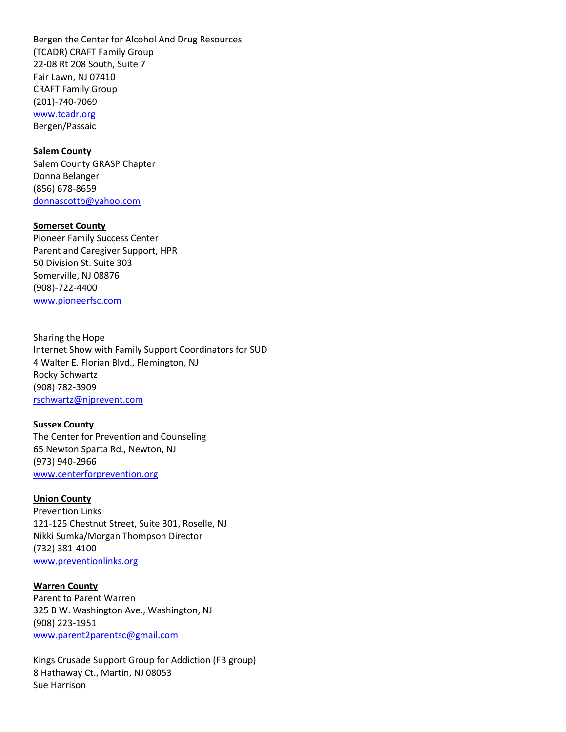Bergen the Center for Alcohol And Drug Resources (TCADR) CRAFT Family Group 22-08 Rt 208 South, Suite 7 Fair Lawn, NJ 07410 CRAFT Family Group (201)-740-7069 [www.tcadr.org](about:blank) Bergen/Passaic

#### **Salem County**

Salem County GRASP Chapter Donna Belanger (856) 678-8659 [donnascottb@yahoo.com](about:blank)

#### **Somerset County**

Pioneer Family Success Center Parent and Caregiver Support, HPR 50 Division St. Suite 303 Somerville, NJ 08876 (908)-722-4400 [www.pioneerfsc.com](about:blank)

Sharing the Hope Internet Show with Family Support Coordinators for SUD 4 Walter E. Florian Blvd., Flemington, NJ Rocky Schwartz (908) 782-3909 [rschwartz@njprevent.com](about:blank)

#### **Sussex County**

The Center for Prevention and Counseling 65 Newton Sparta Rd., Newton, NJ (973) 940-2966 [www.centerforprevention.org](about:blank)

#### **Union County**

Prevention Links 121-125 Chestnut Street, Suite 301, Roselle, NJ Nikki Sumka/Morgan Thompson Director (732) 381-4100 [www.preventionlinks.org](about:blank)

#### **Warren County**

Parent to Parent Warren 325 B W. Washington Ave., Washington, NJ (908) 223-1951 [www.parent2parentsc@gmail.com](about:blank)

Kings Crusade Support Group for Addiction (FB group) 8 Hathaway Ct., Martin, NJ 08053 Sue Harrison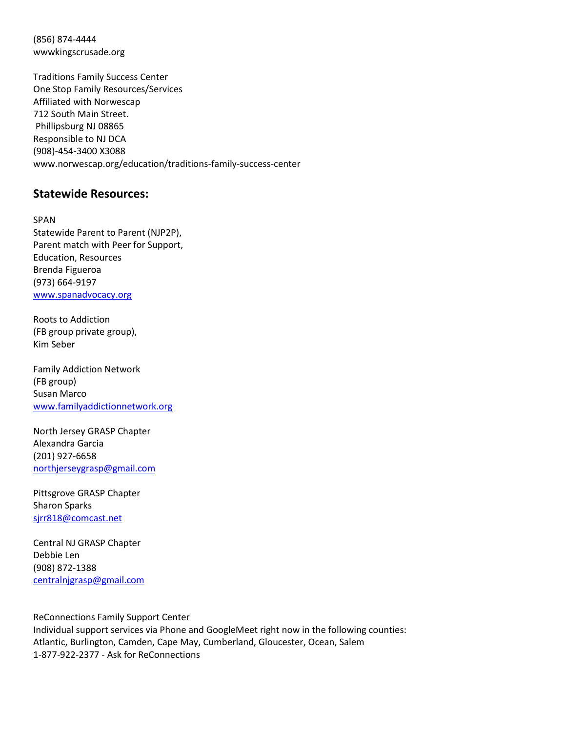(856) 874-4444 wwwkingscrusade.org

Traditions Family Success Center One Stop Family Resources/Services Affiliated with Norwescap 712 South Main Street. Phillipsburg NJ 08865 Responsible to NJ DCA (908)-454-3400 X3088 www.norwescap.org/education/traditions-family-success-center

## **Statewide Resources:**

SPAN Statewide Parent to Parent (NJP2P), Parent match with Peer for Support, Education, Resources Brenda Figueroa (973) 664-9197 [www.spanadvocacy.org](about:blank)

Roots to Addiction (FB group private group), Kim Seber

Family Addiction Network (FB group) Susan Marco [www.familyaddictionnetwork.org](about:blank)

North Jersey GRASP Chapter Alexandra Garcia (201) 927-6658 [northjerseygrasp@gmail.com](about:blank)

Pittsgrove GRASP Chapter Sharon Sparks [sjrr818@comcast.net](about:blank)

Central NJ GRASP Chapter Debbie Len (908) 872-1388 [centralnjgrasp@gmail.com](about:blank)

ReConnections Family Support Center Individual support services via Phone and GoogleMeet right now in the following counties: Atlantic, Burlington, Camden, Cape May, Cumberland, Gloucester, Ocean, Salem 1-877-922-2377 - Ask for ReConnections